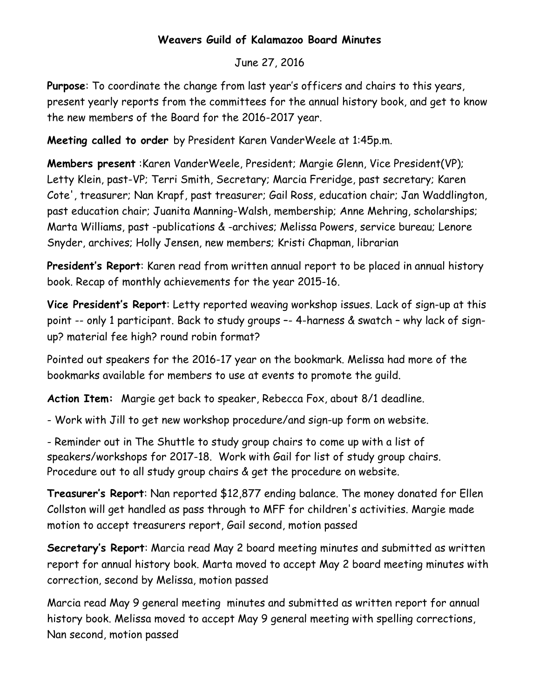### **Weavers Guild of Kalamazoo Board Minutes**

## June 27, 2016

**Purpose**: To coordinate the change from last year's officers and chairs to this years, present yearly reports from the committees for the annual history book, and get to know the new members of the Board for the 2016-2017 year.

**Meeting called to order** by President Karen VanderWeele at 1:45p.m.

**Members present** :Karen VanderWeele, President; Margie Glenn, Vice President(VP); Letty Klein, past-VP; Terri Smith, Secretary; Marcia Freridge, past secretary; Karen Cote', treasurer; Nan Krapf, past treasurer; Gail Ross, education chair; Jan Waddlington, past education chair; Juanita Manning-Walsh, membership; Anne Mehring, scholarships; Marta Williams, past -publications & -archives; Melissa Powers, service bureau; Lenore Snyder, archives; Holly Jensen, new members; Kristi Chapman, librarian

**President's Report**: Karen read from written annual report to be placed in annual history book. Recap of monthly achievements for the year 2015-16.

**Vice President's Report**: Letty reported weaving workshop issues. Lack of sign-up at this point -- only 1 participant. Back to study groups –- 4-harness & swatch – why lack of signup? material fee high? round robin format?

Pointed out speakers for the 2016-17 year on the bookmark. Melissa had more of the bookmarks available for members to use at events to promote the guild.

**Action Item:** Margie get back to speaker, Rebecca Fox, about 8/1 deadline.

- Work with Jill to get new workshop procedure/and sign-up form on website.

- Reminder out in The Shuttle to study group chairs to come up with a list of speakers/workshops for 2017-18. Work with Gail for list of study group chairs. Procedure out to all study group chairs & get the procedure on website.

**Treasurer's Report**: Nan reported \$12,877 ending balance. The money donated for Ellen Collston will get handled as pass through to MFF for children's activities. Margie made motion to accept treasurers report, Gail second, motion passed

**Secretary's Report**: Marcia read May 2 board meeting minutes and submitted as written report for annual history book. Marta moved to accept May 2 board meeting minutes with correction, second by Melissa, motion passed

Marcia read May 9 general meeting minutes and submitted as written report for annual history book. Melissa moved to accept May 9 general meeting with spelling corrections, Nan second, motion passed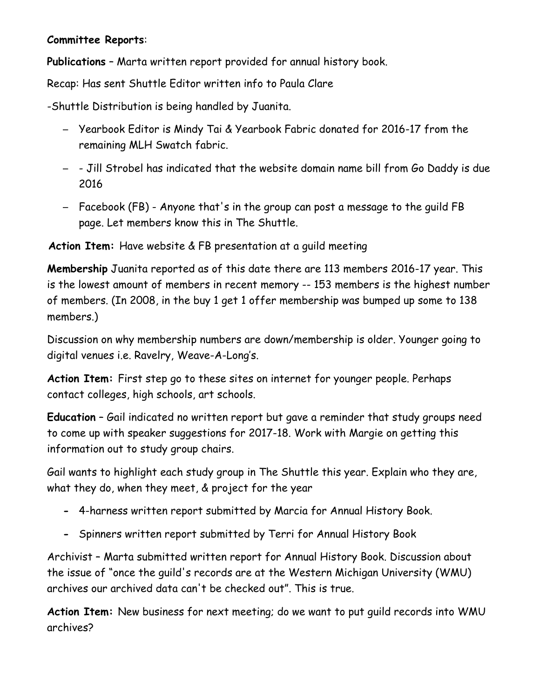#### **Committee Reports**:

**Publications** – Marta written report provided for annual history book.

Recap: Has sent Shuttle Editor written info to Paula Clare

-Shuttle Distribution is being handled by Juanita.

- Yearbook Editor is Mindy Tai & Yearbook Fabric donated for 2016-17 from the remaining MLH Swatch fabric.
- - Jill Strobel has indicated that the website domain name bill from Go Daddy is due 2016
- Facebook (FB) Anyone that's in the group can post a message to the guild FB page. Let members know this in The Shuttle.

**Action Item:** Have website & FB presentation at a guild meeting

**Membership** Juanita reported as of this date there are 113 members 2016-17 year. This is the lowest amount of members in recent memory -- 153 members is the highest number of members. (In 2008, in the buy 1 get 1 offer membership was bumped up some to 138 members.)

Discussion on why membership numbers are down/membership is older. Younger going to digital venues i.e. Ravelry, Weave-A-Long's.

**Action Item:** First step go to these sites on internet for younger people. Perhaps contact colleges, high schools, art schools.

**Education** – Gail indicated no written report but gave a reminder that study groups need to come up with speaker suggestions for 2017-18. Work with Margie on getting this information out to study group chairs.

Gail wants to highlight each study group in The Shuttle this year. Explain who they are, what they do, when they meet, & project for the year

- **-** 4-harness written report submitted by Marcia for Annual History Book.
- **-** Spinners written report submitted by Terri for Annual History Book

Archivist – Marta submitted written report for Annual History Book. Discussion about the issue of "once the guild's records are at the Western Michigan University (WMU) archives our archived data can't be checked out". This is true.

**Action Item:** New business for next meeting; do we want to put guild records into WMU archives?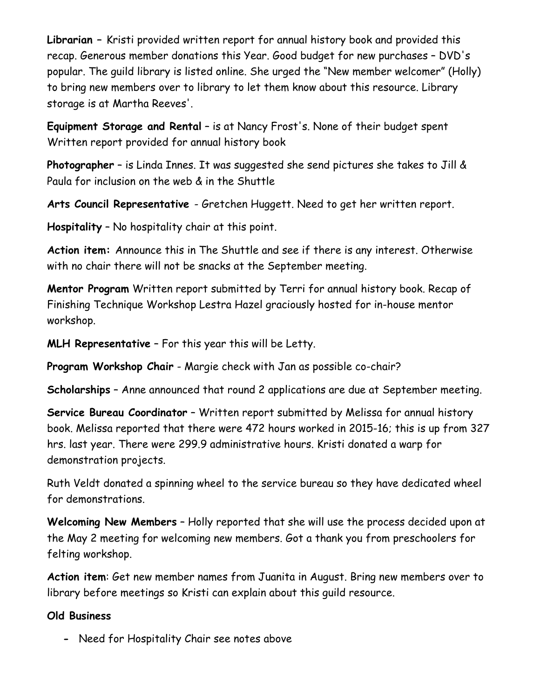**Librarian –** Kristi provided written report for annual history book and provided this recap. Generous member donations this Year. Good budget for new purchases – DVD's popular. The guild library is listed online. She urged the "New member welcomer" (Holly) to bring new members over to library to let them know about this resource. Library storage is at Martha Reeves'.

**Equipment Storage and Rental** – is at Nancy Frost's. None of their budget spent Written report provided for annual history book

**Photographer** – is Linda Innes. It was suggested she send pictures she takes to Jill & Paula for inclusion on the web & in the Shuttle

**Arts Council Representative** - Gretchen Huggett. Need to get her written report.

**Hospitality** – No hospitality chair at this point.

**Action item:** Announce this in The Shuttle and see if there is any interest. Otherwise with no chair there will not be snacks at the September meeting.

**Mentor Program** Written report submitted by Terri for annual history book. Recap of Finishing Technique Workshop Lestra Hazel graciously hosted for in-house mentor workshop.

**MLH Representative** – For this year this will be Letty.

**Program Workshop Chair** - Margie check with Jan as possible co-chair?

**Scholarships** – Anne announced that round 2 applications are due at September meeting.

**Service Bureau Coordinator** – Written report submitted by Melissa for annual history book. Melissa reported that there were 472 hours worked in 2015-16; this is up from 327 hrs. last year. There were 299.9 administrative hours. Kristi donated a warp for demonstration projects.

Ruth Veldt donated a spinning wheel to the service bureau so they have dedicated wheel for demonstrations.

**Welcoming New Members** – Holly reported that she will use the process decided upon at the May 2 meeting for welcoming new members. Got a thank you from preschoolers for felting workshop.

**Action item**: Get new member names from Juanita in August. Bring new members over to library before meetings so Kristi can explain about this guild resource.

## **Old Business**

**-** Need for Hospitality Chair see notes above